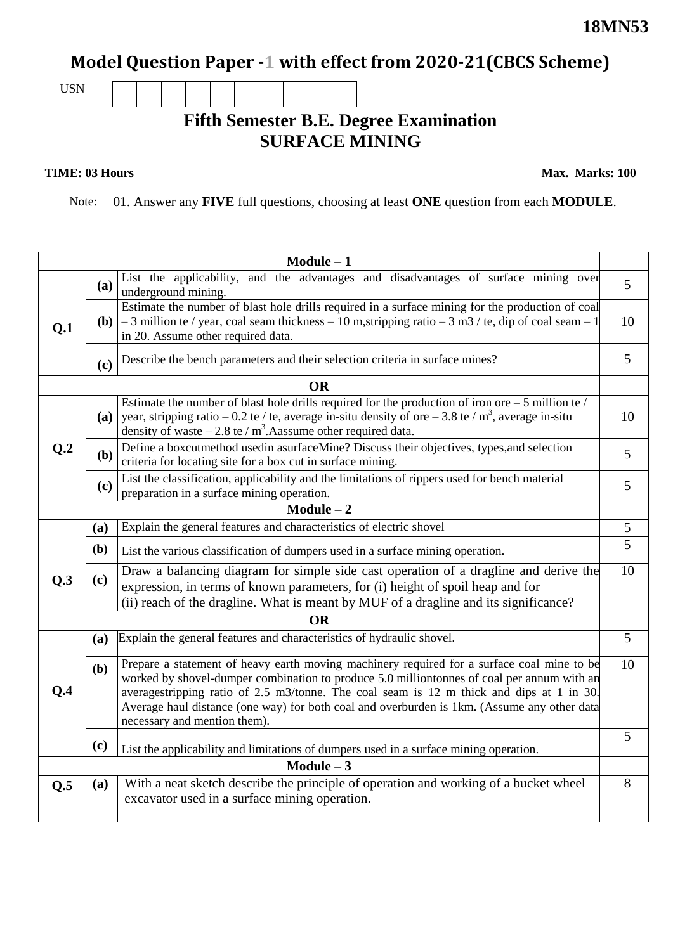## **Model Question Paper -1 with effect from 2020-21(CBCS Scheme)**

USN

## **Fifth Semester B.E. Degree Examination SURFACE MINING**

**TIME: 03 Hours** Max. Marks: 100

Note: 01. Answer any **FIVE** full questions, choosing at least **ONE** question from each **MODULE**.

|              |                                                                                                                                                                                                                                                                       | $Module - 1$                                                                                                                                                                                                                                                                                                                                                                                                        |                |  |  |  |
|--------------|-----------------------------------------------------------------------------------------------------------------------------------------------------------------------------------------------------------------------------------------------------------------------|---------------------------------------------------------------------------------------------------------------------------------------------------------------------------------------------------------------------------------------------------------------------------------------------------------------------------------------------------------------------------------------------------------------------|----------------|--|--|--|
|              | (a)                                                                                                                                                                                                                                                                   | List the applicability, and the advantages and disadvantages of surface mining over<br>underground mining.                                                                                                                                                                                                                                                                                                          | 5              |  |  |  |
| Q.1          |                                                                                                                                                                                                                                                                       | Estimate the number of blast hole drills required in a surface mining for the production of coal<br>(b) $\vert$ - 3 million te / year, coal seam thickness - 10 m, stripping ratio - 3 m3 / te, dip of coal seam - 1<br>in 20. Assume other required data.                                                                                                                                                          |                |  |  |  |
|              | (c)                                                                                                                                                                                                                                                                   | Describe the bench parameters and their selection criteria in surface mines?                                                                                                                                                                                                                                                                                                                                        |                |  |  |  |
|              |                                                                                                                                                                                                                                                                       | <b>OR</b>                                                                                                                                                                                                                                                                                                                                                                                                           |                |  |  |  |
|              | (a)                                                                                                                                                                                                                                                                   | Estimate the number of blast hole drills required for the production of iron ore $-5$ million te /<br>year, stripping ratio – 0.2 te / te, average in-situ density of ore – 3.8 te / $m^3$ , average in-situ<br>density of waste $-2.8$ te / m <sup>3</sup> . Aassume other required data.                                                                                                                          |                |  |  |  |
| Q.2          | (b)                                                                                                                                                                                                                                                                   | Define a boxcutmethod usedin asurfaceMine? Discuss their objectives, types, and selection<br>criteria for locating site for a box cut in surface mining.                                                                                                                                                                                                                                                            |                |  |  |  |
|              | (c)                                                                                                                                                                                                                                                                   | List the classification, applicability and the limitations of rippers used for bench material<br>preparation in a surface mining operation.                                                                                                                                                                                                                                                                         |                |  |  |  |
| $Module - 2$ |                                                                                                                                                                                                                                                                       |                                                                                                                                                                                                                                                                                                                                                                                                                     |                |  |  |  |
|              | (a)                                                                                                                                                                                                                                                                   | Explain the general features and characteristics of electric shovel                                                                                                                                                                                                                                                                                                                                                 | $\mathfrak{S}$ |  |  |  |
|              | (b)                                                                                                                                                                                                                                                                   | List the various classification of dumpers used in a surface mining operation.                                                                                                                                                                                                                                                                                                                                      | $\overline{5}$ |  |  |  |
| Q.3          | Draw a balancing diagram for simple side cast operation of a dragline and derive the<br>(c)<br>expression, in terms of known parameters, for (i) height of spoil heap and for<br>(ii) reach of the dragline. What is meant by MUF of a dragline and its significance? |                                                                                                                                                                                                                                                                                                                                                                                                                     |                |  |  |  |
|              |                                                                                                                                                                                                                                                                       | <b>OR</b>                                                                                                                                                                                                                                                                                                                                                                                                           |                |  |  |  |
|              | (a)                                                                                                                                                                                                                                                                   | Explain the general features and characteristics of hydraulic shovel.                                                                                                                                                                                                                                                                                                                                               | 5              |  |  |  |
| Q.4          | (b)                                                                                                                                                                                                                                                                   | Prepare a statement of heavy earth moving machinery required for a surface coal mine to be<br>worked by shovel-dumper combination to produce 5.0 milliontonnes of coal per annum with an<br>averagestripping ratio of 2.5 m3/tonne. The coal seam is 12 m thick and dips at 1 in 30.<br>Average haul distance (one way) for both coal and overburden is 1km. (Assume any other data<br>necessary and mention them). |                |  |  |  |
|              | (c)                                                                                                                                                                                                                                                                   | List the applicability and limitations of dumpers used in a surface mining operation.                                                                                                                                                                                                                                                                                                                               | 5              |  |  |  |
| Module $-3$  |                                                                                                                                                                                                                                                                       |                                                                                                                                                                                                                                                                                                                                                                                                                     |                |  |  |  |
| Q.5          | (a)                                                                                                                                                                                                                                                                   | With a neat sketch describe the principle of operation and working of a bucket wheel<br>excavator used in a surface mining operation.                                                                                                                                                                                                                                                                               | 8              |  |  |  |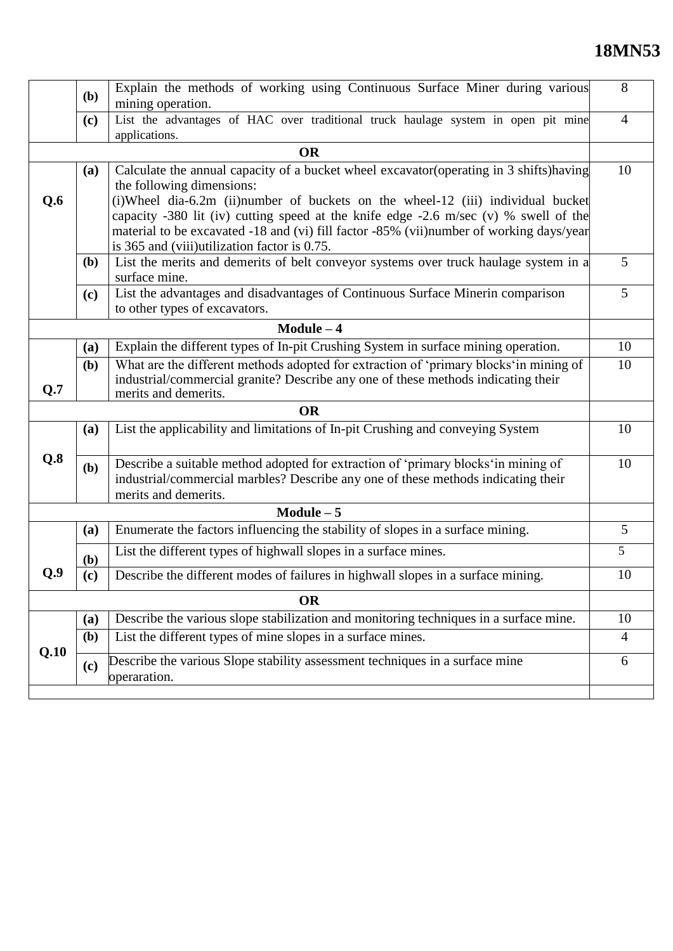## **18MN53**

|      | Explain the methods of working using Continuous Surface Miner during various<br>(b)<br>mining operation. |                                                                                                                                                                                                 |                 |  |  |  |  |
|------|----------------------------------------------------------------------------------------------------------|-------------------------------------------------------------------------------------------------------------------------------------------------------------------------------------------------|-----------------|--|--|--|--|
|      | List the advantages of HAC over traditional truck haulage system in open pit mine<br>(c)                 |                                                                                                                                                                                                 |                 |  |  |  |  |
|      |                                                                                                          | applications.                                                                                                                                                                                   |                 |  |  |  |  |
|      |                                                                                                          | <b>OR</b>                                                                                                                                                                                       |                 |  |  |  |  |
|      | (a)                                                                                                      | Calculate the annual capacity of a bucket wheel excavator (operating in 3 shifts) having<br>the following dimensions:                                                                           |                 |  |  |  |  |
| Q.6  |                                                                                                          | (i)Wheel dia-6.2m (ii)number of buckets on the wheel-12 (iii) individual bucket                                                                                                                 |                 |  |  |  |  |
|      |                                                                                                          | capacity -380 lit (iv) cutting speed at the knife edge -2.6 m/sec (v) % swell of the                                                                                                            |                 |  |  |  |  |
|      | material to be excavated -18 and (vi) fill factor -85% (vii)number of working days/year                  |                                                                                                                                                                                                 |                 |  |  |  |  |
|      |                                                                                                          | is 365 and (viii)utilization factor is 0.75.                                                                                                                                                    |                 |  |  |  |  |
|      | ( <b>b</b> )                                                                                             | List the merits and demerits of belt conveyor systems over truck haulage system in a<br>surface mine.                                                                                           | 5 <sup>5</sup>  |  |  |  |  |
|      | (c)                                                                                                      | List the advantages and disadvantages of Continuous Surface Minerin comparison<br>to other types of excavators.                                                                                 | $5\overline{)}$ |  |  |  |  |
|      |                                                                                                          | $Module - 4$                                                                                                                                                                                    |                 |  |  |  |  |
|      | (a)                                                                                                      | Explain the different types of In-pit Crushing System in surface mining operation.                                                                                                              | 10              |  |  |  |  |
|      | (b)                                                                                                      | What are the different methods adopted for extraction of 'primary blocks' in mining of<br>industrial/commercial granite? Describe any one of these methods indicating their                     | 10              |  |  |  |  |
| Q.7  |                                                                                                          | merits and demerits.                                                                                                                                                                            |                 |  |  |  |  |
|      |                                                                                                          | <b>OR</b>                                                                                                                                                                                       |                 |  |  |  |  |
|      | (a)                                                                                                      | List the applicability and limitations of In-pit Crushing and conveying System                                                                                                                  | 10              |  |  |  |  |
| Q.8  | (b)                                                                                                      | Describe a suitable method adopted for extraction of 'primary blocks' in mining of<br>industrial/commercial marbles? Describe any one of these methods indicating their<br>merits and demerits. | 10              |  |  |  |  |
|      |                                                                                                          | $Module - 5$                                                                                                                                                                                    |                 |  |  |  |  |
|      | (a)                                                                                                      | Enumerate the factors influencing the stability of slopes in a surface mining.                                                                                                                  | 5               |  |  |  |  |
|      | (b)                                                                                                      | List the different types of highwall slopes in a surface mines.                                                                                                                                 | $5\overline{)}$ |  |  |  |  |
| O.9  | (c)                                                                                                      | Describe the different modes of failures in highwall slopes in a surface mining.                                                                                                                | 10              |  |  |  |  |
|      |                                                                                                          | <b>OR</b>                                                                                                                                                                                       |                 |  |  |  |  |
|      | (a)                                                                                                      | Describe the various slope stabilization and monitoring techniques in a surface mine.                                                                                                           | 10              |  |  |  |  |
| Q.10 | (b)                                                                                                      | List the different types of mine slopes in a surface mines.                                                                                                                                     |                 |  |  |  |  |
|      | (c)                                                                                                      | Describe the various Slope stability assessment techniques in a surface mine<br>operaration.                                                                                                    | 6               |  |  |  |  |
|      |                                                                                                          |                                                                                                                                                                                                 |                 |  |  |  |  |